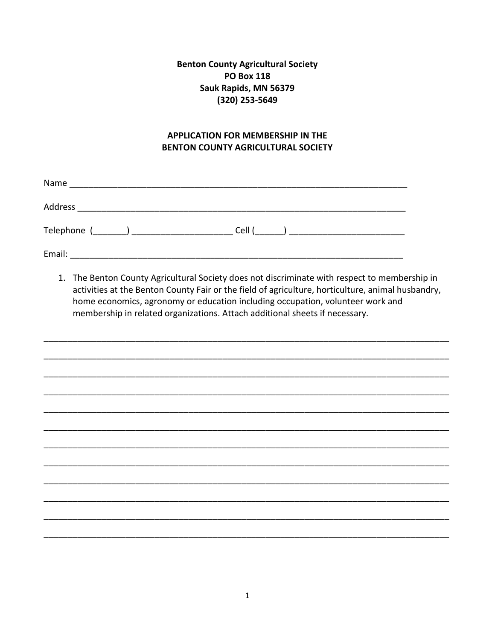**Benton County Agricultural Society PO Box 118** Sauk Rapids, MN 56379 (320) 253-5649

## **APPLICATION FOR MEMBERSHIP IN THE BENTON COUNTY AGRICULTURAL SOCIETY**

| Name                                    |        |  |
|-----------------------------------------|--------|--|
| Address                                 |        |  |
| Telephone (________) __________________ | Cell ( |  |
| Email:                                  |        |  |

1. The Benton County Agricultural Society does not discriminate with respect to membership in activities at the Benton County Fair or the field of agriculture, horticulture, animal husbandry, home economics, agronomy or education including occupation, volunteer work and membership in related organizations. Attach additional sheets if necessary.

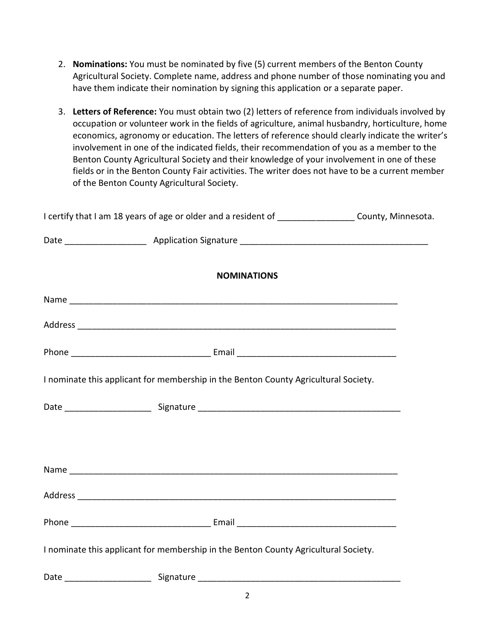- 2. **Nominations:** You must be nominated by five (5) current members of the Benton County Agricultural Society. Complete name, address and phone number of those nominating you and have them indicate their nomination by signing this application or a separate paper.
- 3. **Letters of Reference:** You must obtain two (2) letters of reference from individuals involved by occupation or volunteer work in the fields of agriculture, animal husbandry, horticulture, home economics, agronomy or education. The letters of reference should clearly indicate the writer's involvement in one of the indicated fields, their recommendation of you as a member to the Benton County Agricultural Society and their knowledge of your involvement in one of these fields or in the Benton County Fair activities. The writer does not have to be a current member of the Benton County Agricultural Society.

| I certify that I am 18 years of age or older and a resident of ___________________County, Minnesota. |  |
|------------------------------------------------------------------------------------------------------|--|
|                                                                                                      |  |
| <b>NOMINATIONS</b>                                                                                   |  |
|                                                                                                      |  |
|                                                                                                      |  |
|                                                                                                      |  |
| I nominate this applicant for membership in the Benton County Agricultural Society.                  |  |
|                                                                                                      |  |
|                                                                                                      |  |
|                                                                                                      |  |
|                                                                                                      |  |
|                                                                                                      |  |
| I nominate this applicant for membership in the Benton County Agricultural Society.                  |  |
|                                                                                                      |  |